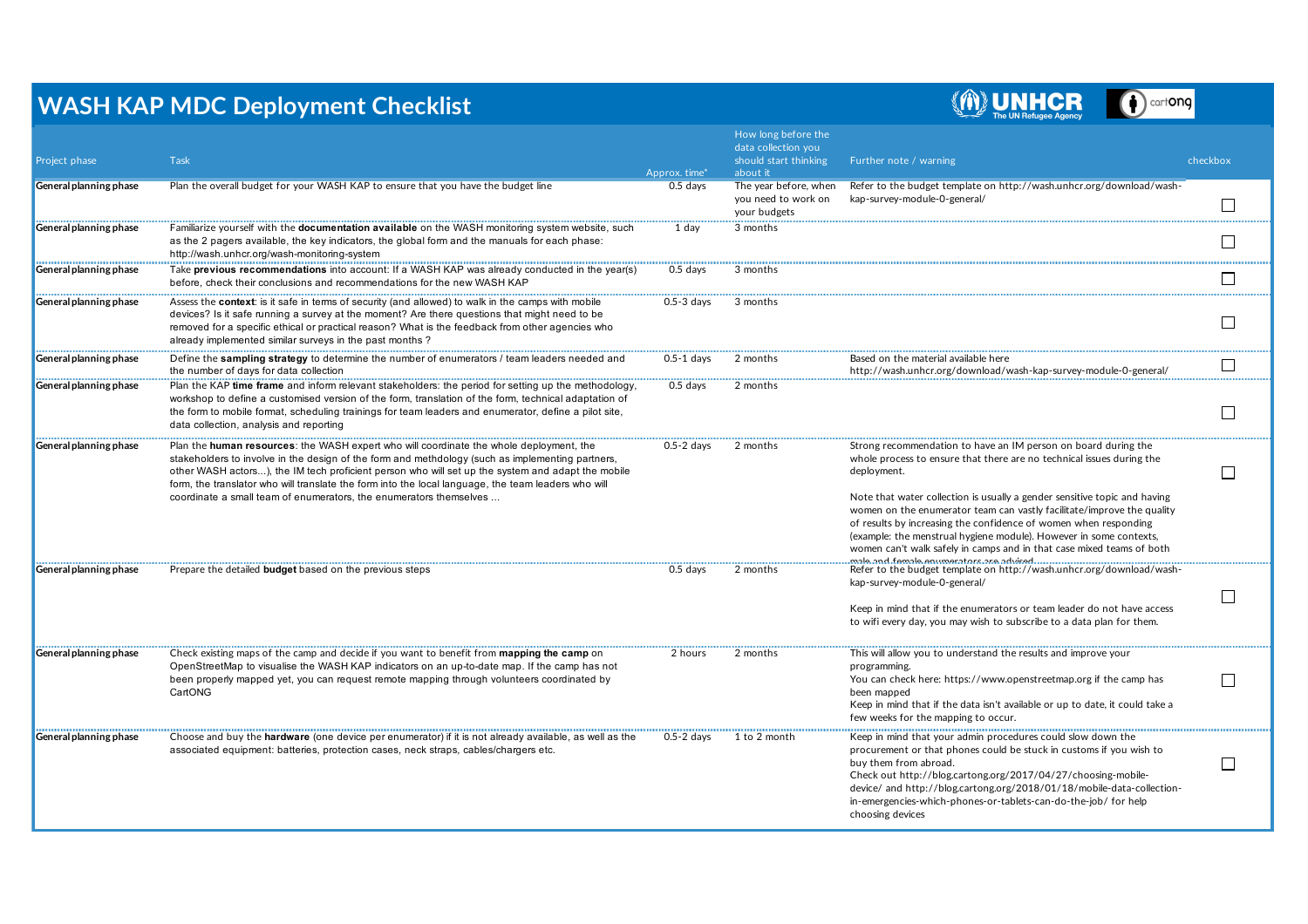## **WASH KAP MDC Deployment Checklist**



cart**ona**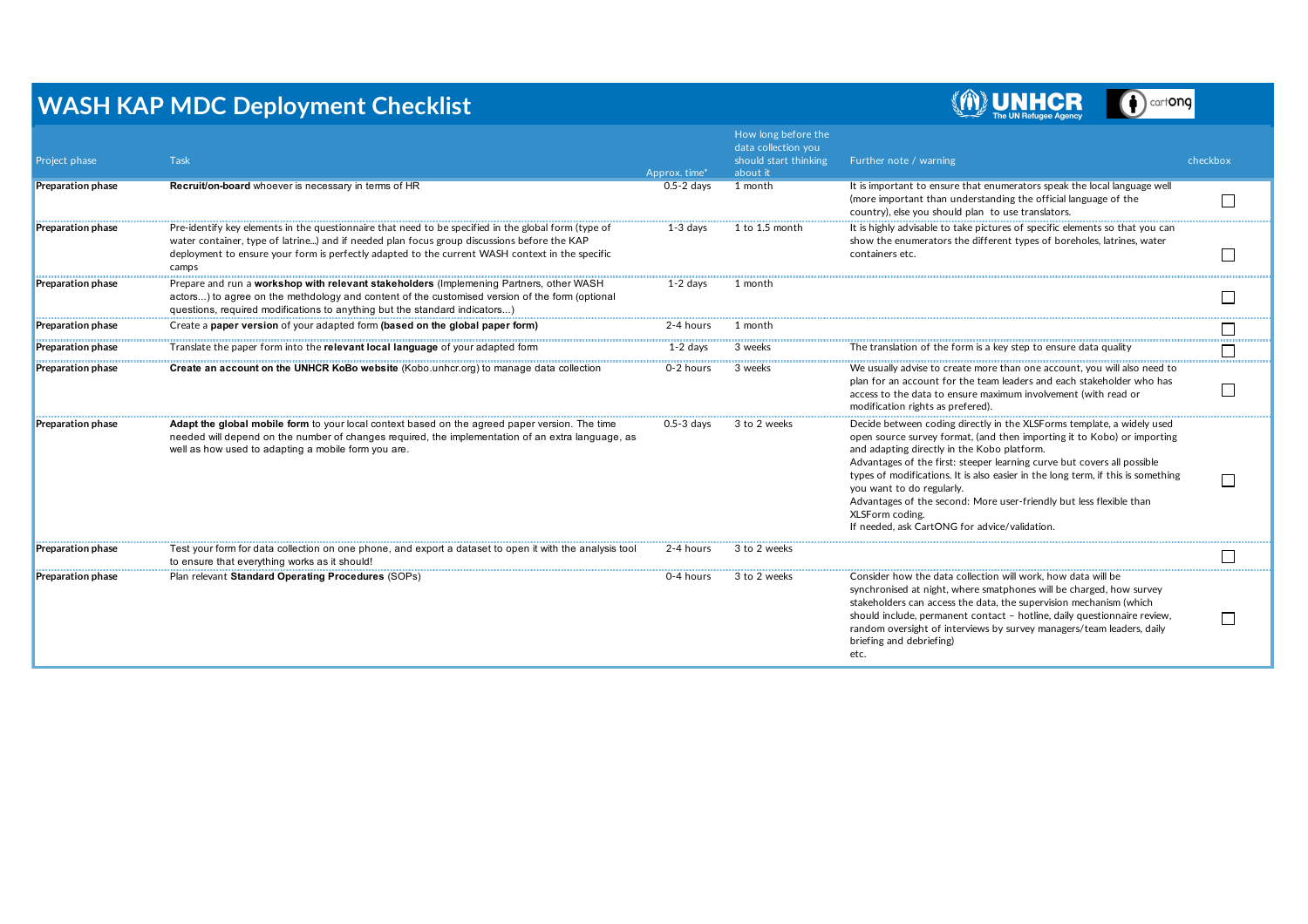## **WASH KAP MDC Deployment Checklist**



cartong